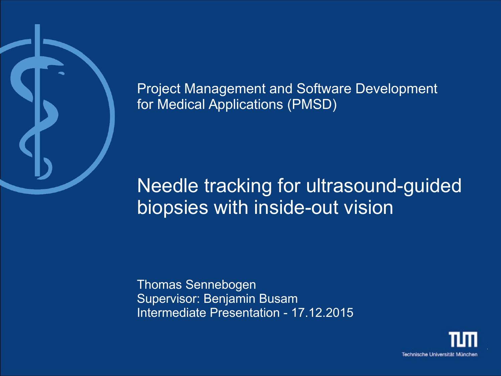

Project Management and Software Development for Medical Applications (PMSD)

# Needle tracking for ultrasound-guided biopsies with inside-out vision

Thomas Sennebogen Supervisor: Benjamin Busam Intermediate Presentation - 17.12.2015

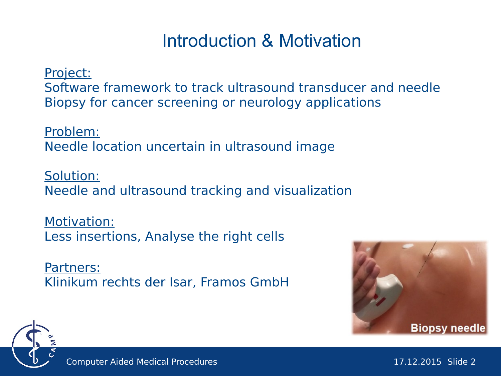## Introduction & Motivation

Project:

Software framework to track ultrasound transducer and needle Biopsy for cancer screening or neurology applications

Problem: Needle location uncertain in ultrasound image

Solution: Needle and ultrasound tracking and visualization

Motivation: Less insertions, Analyse the right cells

Partners: Klinikum rechts der Isar, Framos GmbH



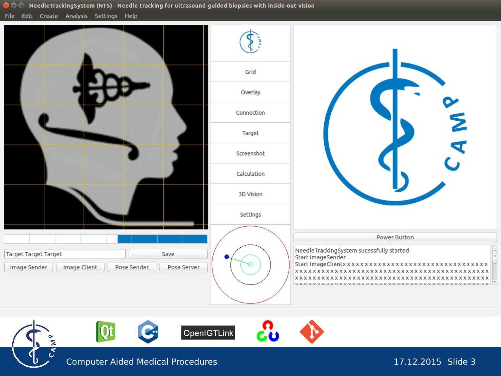◎ ● 1 NeedleTrackingSystem (NTS) - Needle tracking for ultrasound-guided biopsies with inside-out vision

File Edit Create Analysis Settings Help



Computer Aided Medical Procedures 17.12.2015 Slide 3

OpenIGTLink

**Qt**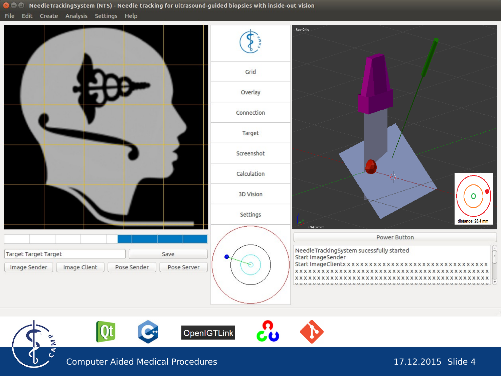◎ ● 1 NeedleTrackingSystem (NTS) - Needle tracking for ultrasound-guided biopsies with inside-out vision

File Edit Create Analysis Settings Help



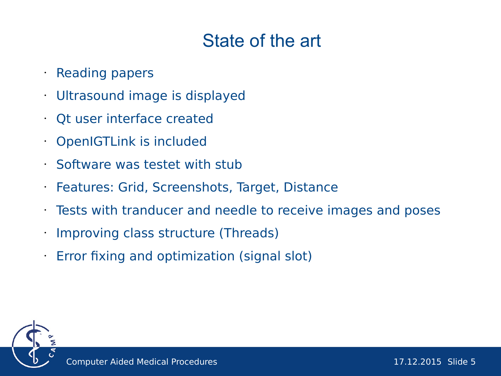## State of the art

#### • Reading papers

- Ultrasound image is displayed
- Qt user interface created
- OpenIGTLink is included
- Software was testet with stub
- Features: Grid, Screenshots, Target, Distance
- Tests with tranducer and needle to receive images and poses
- Improving class structure (Threads)
- Error fixing and optimization (signal slot)

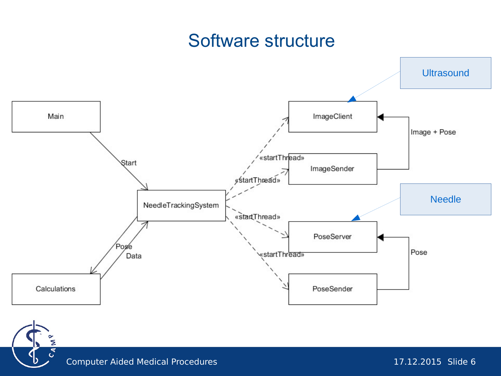#### Software structure





Σ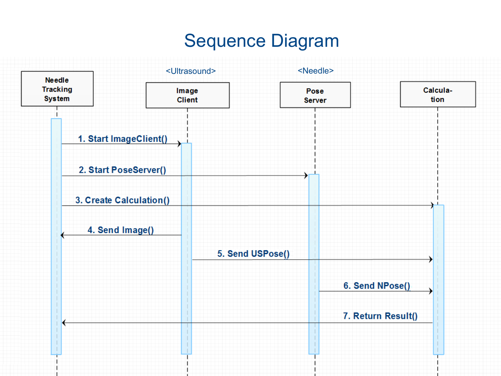## Sequence Diagram

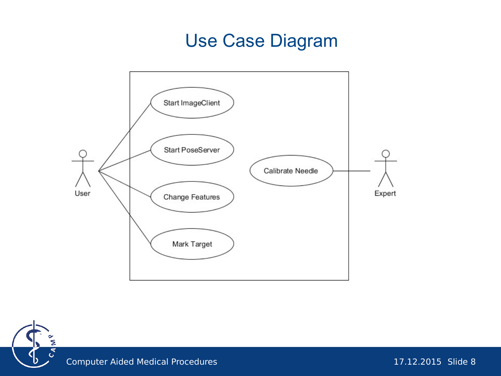### Use Case Diagram



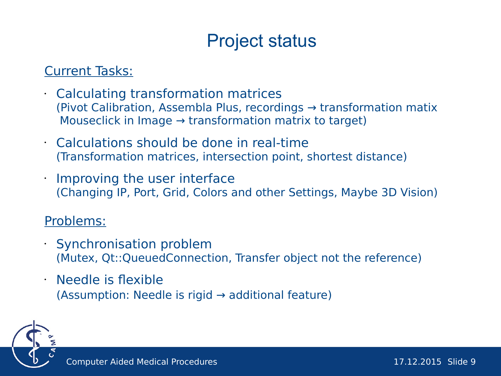## Project status

#### Current Tasks:

- Calculating transformation matrices (Pivot Calibration, Assembla Plus, recordings → transformation matix Mouseclick in Image  $\rightarrow$  transformation matrix to target)
- Calculations should be done in real-time (Transformation matrices, intersection point, shortest distance)
- Improving the user interface (Changing IP, Port, Grid, Colors and other Settings, Maybe 3D Vision)

#### Problems:

- Synchronisation problem (Mutex, Qt::QueuedConnection, Transfer object not the reference)
- Needle is flexible (Assumption: Needle is rigid  $\rightarrow$  additional feature)

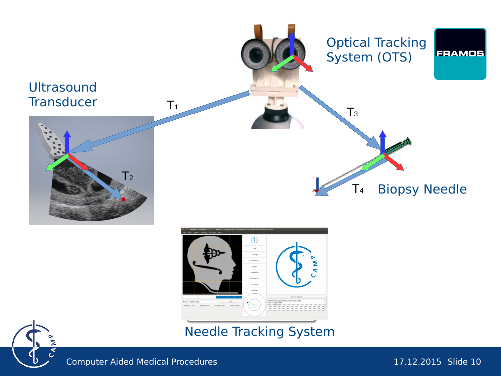

Computer Aided Medical Procedures 17.12.2015 Slide 10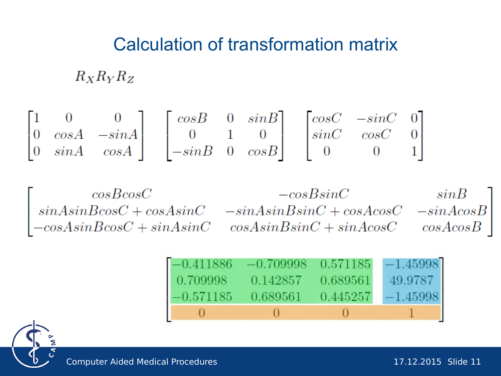### Calculation of transformation matrix

 $R_X R_Y R_Z$ 

$$
\begin{bmatrix} 1 & 0 & 0 \ 0 & cosA & -sinA \ 0 & sinA & cosA \end{bmatrix} \quad \begin{bmatrix} cosB & 0 & sinB \ 0 & 1 & 0 \ -sinB & 0 & cosB \end{bmatrix} \quad \begin{bmatrix} cosC & -sinC & 0 \ sinC & cosC & 0 \ 0 & 0 & 1 \end{bmatrix}
$$

 $\begin{bmatrix} cosBcosC & -cosBsinC & sinB\\ sinAsinBcosC + cosAsinC & -sinAsinBsinC + cosAcosC & -sinAcosB\\ -cosAsinBcosC + sinAsinC & cosAsinBsinC + sinAcosC & cosAcosB \end{bmatrix}$ 

| $-0.411886$ | $-0.709998$ 0.571185 |          | $-1.45998$ |
|-------------|----------------------|----------|------------|
| 0.709998    | 0.142857 0.689561    |          | 49.9787    |
| $-0.571185$ | 0.689561             | 0.445257 | $-1.45998$ |
|             | $\Box$               | TI       |            |

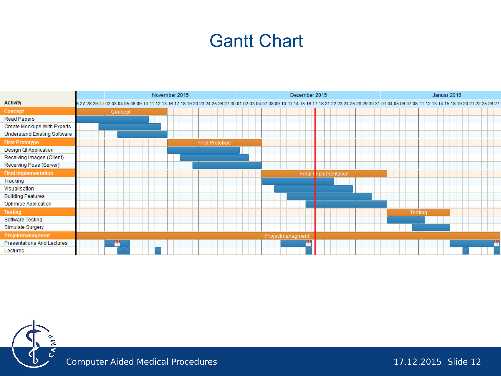#### Gantt Chart

|                                     |                                                                                                                                                                                                            | November 2015  |  |  |  |  |  |                 |  | Dezember 2015 |  |  |                  |   |                       |  |  |  | Januar 2016 |         |  |  |  |  |  |   |  |
|-------------------------------------|------------------------------------------------------------------------------------------------------------------------------------------------------------------------------------------------------------|----------------|--|--|--|--|--|-----------------|--|---------------|--|--|------------------|---|-----------------------|--|--|--|-------------|---------|--|--|--|--|--|---|--|
| <b>Activity</b>                     | 6 27 28 29 30 02 03 04 05 06 09 10 11 12 13 16 17 18 19 20 23 24 25 26 27 30 01 02 03 04 07 08 09 10 11 14 15 16 17 18 21 22 23 24 25 28 29 30 31 01 04 05 06 07 08 11 12 13 14 15 18 19 20 21 22 25 26 27 |                |  |  |  |  |  |                 |  |               |  |  |                  |   |                       |  |  |  |             |         |  |  |  |  |  |   |  |
| Concept                             |                                                                                                                                                                                                            | <b>Concept</b> |  |  |  |  |  |                 |  |               |  |  |                  |   |                       |  |  |  |             |         |  |  |  |  |  |   |  |
| <b>Read Papers</b>                  |                                                                                                                                                                                                            |                |  |  |  |  |  |                 |  |               |  |  |                  |   |                       |  |  |  |             |         |  |  |  |  |  |   |  |
| Create Mockups With Experts         |                                                                                                                                                                                                            |                |  |  |  |  |  |                 |  |               |  |  |                  |   |                       |  |  |  |             |         |  |  |  |  |  |   |  |
| <b>Understand Existing Software</b> |                                                                                                                                                                                                            |                |  |  |  |  |  |                 |  |               |  |  |                  |   |                       |  |  |  |             |         |  |  |  |  |  |   |  |
| <b>First Prototype</b>              |                                                                                                                                                                                                            |                |  |  |  |  |  | First Prototype |  |               |  |  |                  |   |                       |  |  |  |             |         |  |  |  |  |  |   |  |
| Design Qt Application               |                                                                                                                                                                                                            |                |  |  |  |  |  |                 |  |               |  |  |                  |   |                       |  |  |  |             |         |  |  |  |  |  |   |  |
| Receiving Images (Client)           |                                                                                                                                                                                                            |                |  |  |  |  |  |                 |  |               |  |  |                  |   |                       |  |  |  |             |         |  |  |  |  |  |   |  |
| Receiving Pose (Server)             |                                                                                                                                                                                                            |                |  |  |  |  |  |                 |  |               |  |  |                  |   |                       |  |  |  |             |         |  |  |  |  |  |   |  |
| <b>Final Implementation</b>         |                                                                                                                                                                                                            |                |  |  |  |  |  |                 |  |               |  |  |                  |   | Final I nplementation |  |  |  |             |         |  |  |  |  |  |   |  |
| Tracking                            |                                                                                                                                                                                                            |                |  |  |  |  |  |                 |  |               |  |  |                  |   |                       |  |  |  |             |         |  |  |  |  |  |   |  |
| Visualisation                       |                                                                                                                                                                                                            |                |  |  |  |  |  |                 |  |               |  |  |                  |   |                       |  |  |  |             |         |  |  |  |  |  |   |  |
| <b>Building Features</b>            |                                                                                                                                                                                                            |                |  |  |  |  |  |                 |  |               |  |  |                  |   |                       |  |  |  |             |         |  |  |  |  |  |   |  |
| Optimise Application                |                                                                                                                                                                                                            |                |  |  |  |  |  |                 |  |               |  |  |                  |   |                       |  |  |  |             |         |  |  |  |  |  |   |  |
| <b>Testing</b>                      |                                                                                                                                                                                                            |                |  |  |  |  |  |                 |  |               |  |  |                  |   |                       |  |  |  |             | Testing |  |  |  |  |  |   |  |
| Software Testing                    |                                                                                                                                                                                                            |                |  |  |  |  |  |                 |  |               |  |  |                  |   |                       |  |  |  |             |         |  |  |  |  |  |   |  |
| Simulate Surgery                    |                                                                                                                                                                                                            |                |  |  |  |  |  |                 |  |               |  |  |                  |   |                       |  |  |  |             |         |  |  |  |  |  |   |  |
| Projektmanagment                    |                                                                                                                                                                                                            |                |  |  |  |  |  |                 |  |               |  |  | Projectmanagment |   |                       |  |  |  |             |         |  |  |  |  |  |   |  |
| Presentations And Lectures          |                                                                                                                                                                                                            | ۳              |  |  |  |  |  |                 |  |               |  |  |                  | ٣ |                       |  |  |  |             |         |  |  |  |  |  | m |  |
| Lectures                            |                                                                                                                                                                                                            |                |  |  |  |  |  |                 |  |               |  |  |                  |   |                       |  |  |  |             |         |  |  |  |  |  |   |  |



Computer Aided Medical Procedures 17.12.2015 Slide 12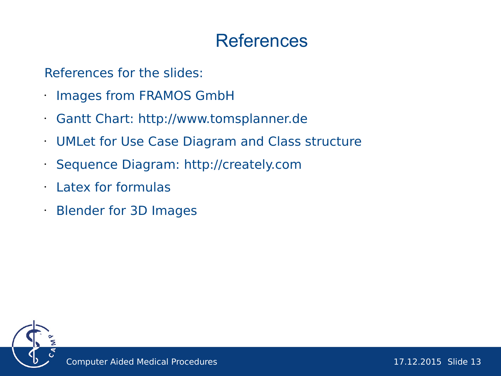#### References

References for the slides:

- Images from FRAMOS GmbH
- Gantt Chart: [http://www.tomsplanner.de](http://www.tomsplanner.de/)
- UMLet for Use Case Diagram and Class structure
- Sequence Diagram: [http://creately.com](http://creately.com/)
- Latex for formulas
- Blender for 3D Images